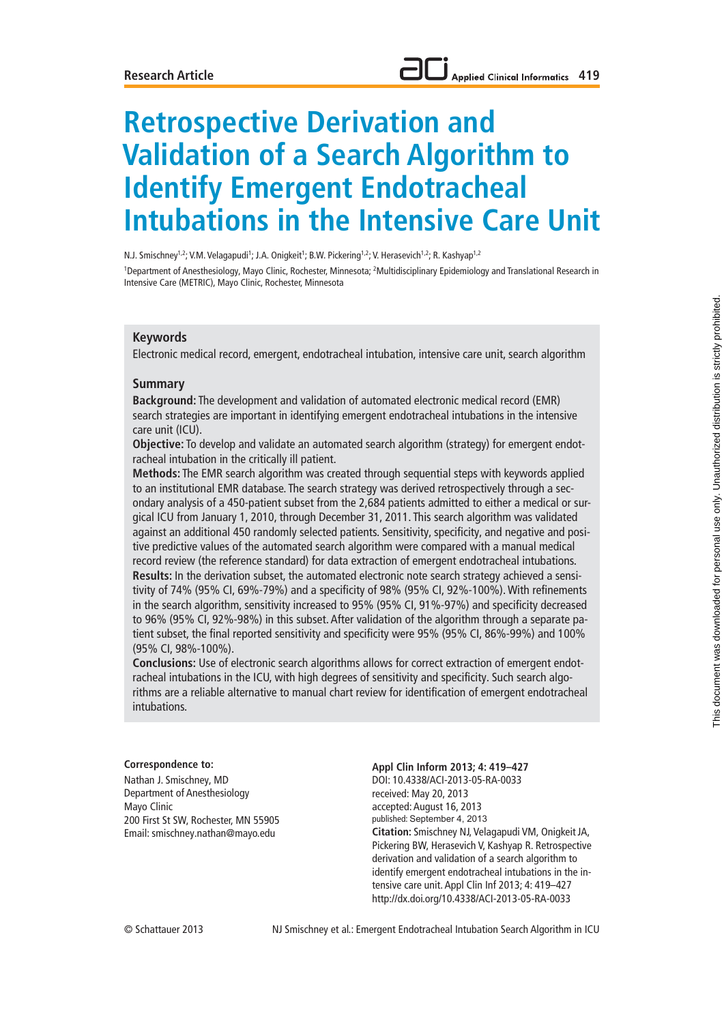# **Applied Clinical Informatics 419**

# **Retrospective Derivation and Validation of a Search Algorithm to Identify Emergent Endotracheal Intubations in the Intensive Care Unit**

N.J. Smischney<sup>1,2</sup>; V.M. Velagapudi<sup>1</sup>; J.A. Onigkeit<sup>1</sup>; B.W. Pickering<sup>1,2</sup>; V. Herasevich<sup>1,2</sup>; R. Kashyap<sup>1,2</sup> <sup>1</sup>Department of Anesthesiology, Mayo Clinic, Rochester, Minnesota; <sup>2</sup>Multidisciplinary Epidemiology and Translational Research in Intensive Care (METRIC), Mayo Clinic, Rochester, Minnesota

#### **Keywords**

Electronic medical record, emergent, endotracheal intubation, intensive care unit, search algorithm

#### **Summary**

**Background:** The development and validation of automated electronic medical record (EMR) search strategies are important in identifying emergent endotracheal intubations in the intensive care unit (ICU).

**Objective:** To develop and validate an automated search algorithm (strategy) for emergent endotracheal intubation in the critically ill patient.

**Methods:** The EMR search algorithm was created through sequential steps with keywords applied to an institutional EMR database. The search strategy was derived retrospectively through a secondary analysis of a 450-patient subset from the 2,684 patients admitted to either a medical or surgical ICU from January 1, 2010, through December 31, 2011. This search algorithm was validated against an additional 450 randomly selected patients. Sensitivity, specificity, and negative and positive predictive values of the automated search algorithm were compared with a manual medical record review (the reference standard) for data extraction of emergent endotracheal intubations. **Results:** In the derivation subset, the automated electronic note search strategy achieved a sensitivity of 74% (95% CI, 69%-79%) and a specificity of 98% (95% CI, 92%-100%). With refinements in the search algorithm, sensitivity increased to 95% (95% CI, 91%-97%) and specificity decreased to 96% (95% CI, 92%-98%) in this subset. After validation of the algorithm through a separate patient subset, the final reported sensitivity and specificity were 95% (95% CI, 86%-99%) and 100% (95% CI, 98%-100%).

**Conclusions:** Use of electronic search algorithms allows for correct extraction of emergent endotracheal intubations in the ICU, with high degrees of sensitivity and specificity. Such search algorithms are a reliable alternative to manual chart review for identification of emergent endotracheal intubations.

#### **Correspondence to:** Nathan J. Smischney, MD Department of Anesthesiology Mayo Clinic 200 First St SW, Rochester, MN 55905 Email: smischney.nathan@mayo.edu

**Appl Clin Inform 2013; 4: 419–427** DOI: 10.4338/ACI-2013-05-RA-0033 received: May 20, 2013 accepted: August 16, 2013 published: September 4, 2013 **Citation:** Smischney NJ, Velagapudi VM, Onigkeit JA, Pickering BW, Herasevich V, Kashyap R. Retrospective derivation and validation of a search algorithm to identify emergent endotracheal intubations in the intensive care unit. Appl Clin Inf 2013; 4: 419–427 http://dx.doi.org/10.4338/ACI-2013-05-RA-0033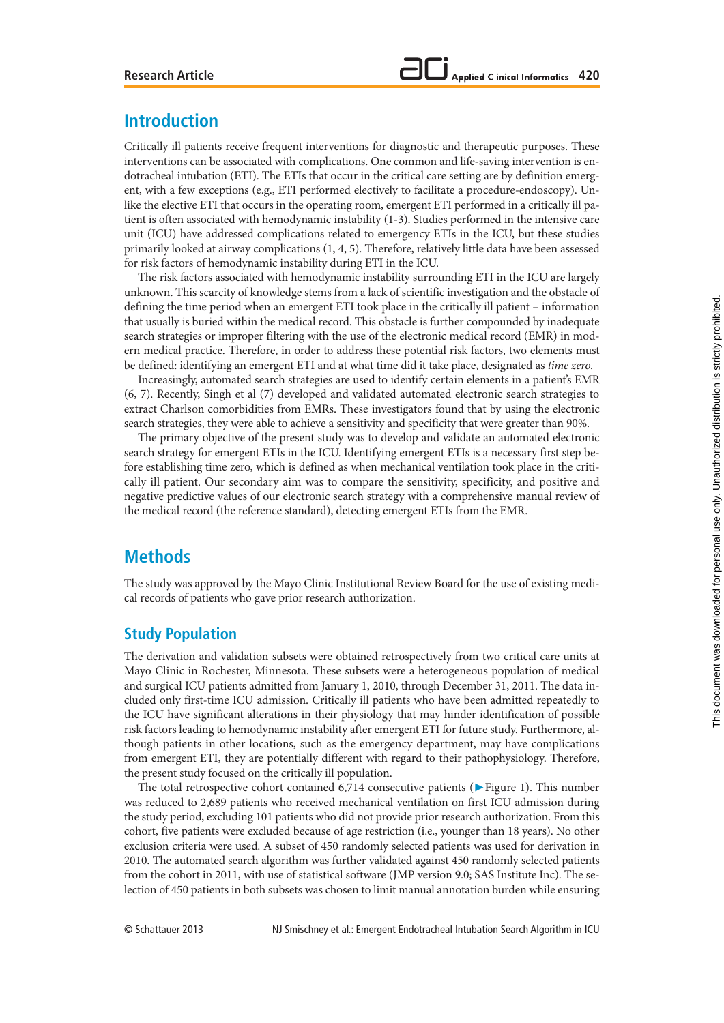### **Introduction**

Critically ill patients receive frequent interventions for diagnostic and therapeutic purposes. These interventions can be associated with complications. One common and life-saving intervention is endotracheal intubation (ETI). The ETIs that occur in the critical care setting are by definition emergent, with a few exceptions (e.g., ETI performed electively to facilitate a procedure-endoscopy). Unlike the elective ETI that occurs in the operating room, emergent ETI performed in a critically ill patient is often associated with hemodynamic instability (1-3). Studies performed in the intensive care unit (ICU) have addressed complications related to emergency ETIs in the ICU, but these studies primarily looked at airway complications (1, 4, 5). Therefore, relatively little data have been assessed for risk factors of hemodynamic instability during ETI in the ICU.

The risk factors associated with hemodynamic instability surrounding ETI in the ICU are largely unknown. This scarcity of knowledge stems from a lack of scientific investigation and the obstacle of defining the time period when an emergent ETI took place in the critically ill patient – information that usually is buried within the medical record. This obstacle is further compounded by inadequate search strategies or improper filtering with the use of the electronic medical record (EMR) in modern medical practice. Therefore, in order to address these potential risk factors, two elements must be defined: identifying an emergent ETI and at what time did it take place, designated as *time zero*.

Increasingly, automated search strategies are used to identify certain elements in a patient's EMR (6, 7). Recently, Singh et al (7) developed and validated automated electronic search strategies to extract Charlson comorbidities from EMRs. These investigators found that by using the electronic search strategies, they were able to achieve a sensitivity and specificity that were greater than 90%.

The primary objective of the present study was to develop and validate an automated electronic search strategy for emergent ETIs in the ICU. Identifying emergent ETIs is a necessary first step before establishing time zero, which is defined as when mechanical ventilation took place in the critically ill patient. Our secondary aim was to compare the sensitivity, specificity, and positive and negative predictive values of our electronic search strategy with a comprehensive manual review of the medical record (the reference standard), detecting emergent ETIs from the EMR.

### **Methods**

The study was approved by the Mayo Clinic Institutional Review Board for the use of existing medical records of patients who gave prior research authorization.

### **Study Population**

The derivation and validation subsets were obtained retrospectively from two critical care units at Mayo Clinic in Rochester, Minnesota. These subsets were a heterogeneous population of medical and surgical ICU patients admitted from January 1, 2010, through December 31, 2011. The data included only first-time ICU admission. Critically ill patients who have been admitted repeatedly to the ICU have significant alterations in their physiology that may hinder identification of possible risk factors leading to hemodynamic instability after emergent ETI for future study. Furthermore, although patients in other locations, such as the emergency department, may have complications from emergent ETI, they are potentially different with regard to their pathophysiology. Therefore, the present study focused on the critically ill population.

The total retrospective cohort contained 6,714 consecutive patients ( $\blacktriangleright$  Figure 1). This number was reduced to 2,689 patients who received mechanical ventilation on first ICU admission during the study period, excluding 101 patients who did not provide prior research authorization. From this cohort, five patients were excluded because of age restriction (i.e., younger than 18 years). No other exclusion criteria were used. A subset of 450 randomly selected patients was used for derivation in 2010. The automated search algorithm was further validated against 450 randomly selected patients from the cohort in 2011, with use of statistical software (JMP version 9.0; SAS Institute Inc). The selection of 450 patients in both subsets was chosen to limit manual annotation burden while ensuring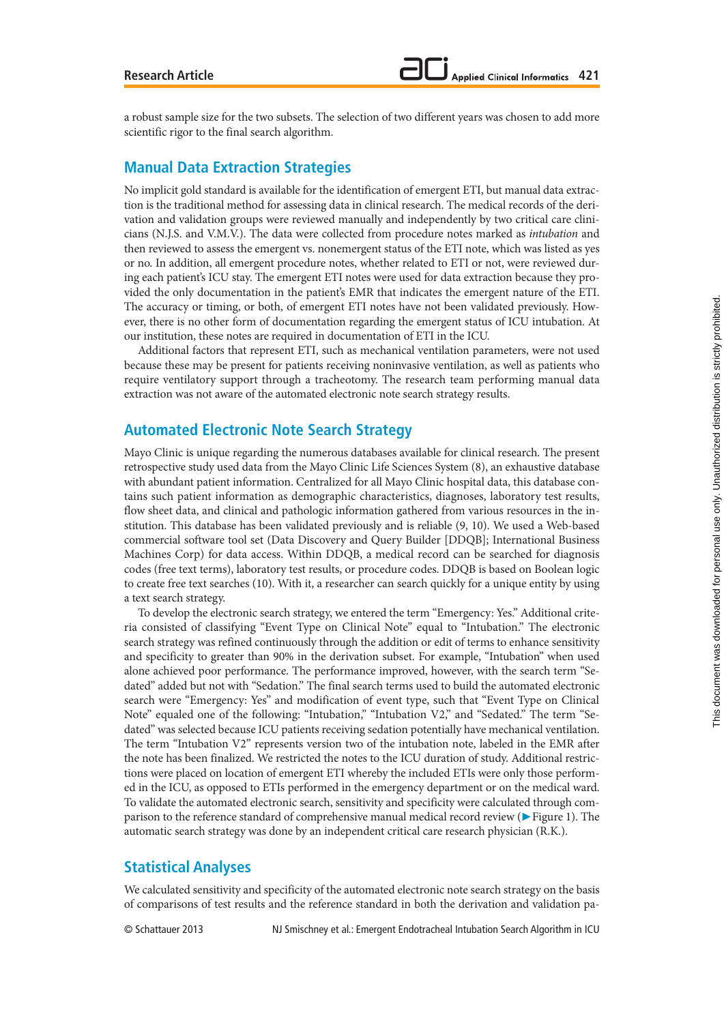a robust sample size for the two subsets. The selection of two different years was chosen to add more scientific rigor to the final search algorithm.

### **Manual Data Extraction Strategies**

No implicit gold standard is available for the identification of emergent ETI, but manual data extraction is the traditional method for assessing data in clinical research. The medical records of the derivation and validation groups were reviewed manually and independently by two critical care clinicians (N.J.S. and V.M.V.). The data were collected from procedure notes marked as *intubation* and then reviewed to assess the emergent vs. nonemergent status of the ETI note, which was listed as yes or no. In addition, all emergent procedure notes, whether related to ETI or not, were reviewed during each patient's ICU stay. The emergent ETI notes were used for data extraction because they provided the only documentation in the patient's EMR that indicates the emergent nature of the ETI. The accuracy or timing, or both, of emergent ETI notes have not been validated previously. However, there is no other form of documentation regarding the emergent status of ICU intubation. At our institution, these notes are required in documentation of ETI in the ICU.

Additional factors that represent ETI, such as mechanical ventilation parameters, were not used because these may be present for patients receiving noninvasive ventilation, as well as patients who require ventilatory support through a tracheotomy. The research team performing manual data extraction was not aware of the automated electronic note search strategy results.

### **Automated Electronic Note Search Strategy**

Mayo Clinic is unique regarding the numerous databases available for clinical research. The present retrospective study used data from the Mayo Clinic Life Sciences System (8), an exhaustive database with abundant patient information. Centralized for all Mayo Clinic hospital data, this database contains such patient information as demographic characteristics, diagnoses, laboratory test results, flow sheet data, and clinical and pathologic information gathered from various resources in the institution. This database has been validated previously and is reliable (9, 10). We used a Web-based commercial software tool set (Data Discovery and Query Builder [DDQB]; International Business Machines Corp) for data access. Within DDQB, a medical record can be searched for diagnosis codes (free text terms), laboratory test results, or procedure codes. DDQB is based on Boolean logic to create free text searches (10). With it, a researcher can search quickly for a unique entity by using a text search strategy.

To develop the electronic search strategy, we entered the term "Emergency: Yes." Additional criteria consisted of classifying "Event Type on Clinical Note" equal to "Intubation." The electronic search strategy was refined continuously through the addition or edit of terms to enhance sensitivity and specificity to greater than 90% in the derivation subset. For example, "Intubation" when used alone achieved poor performance. The performance improved, however, with the search term "Sedated" added but not with "Sedation." The final search terms used to build the automated electronic search were "Emergency: Yes" and modification of event type, such that "Event Type on Clinical Note" equaled one of the following: "Intubation," "Intubation V2," and "Sedated." The term "Sedated" was selected because ICU patients receiving sedation potentially have mechanical ventilation. The term "Intubation V2" represents version two of the intubation note, labeled in the EMR after the note has been finalized. We restricted the notes to the ICU duration of study. Additional restrictions were placed on location of emergent ETI whereby the included ETIs were only those performed in the ICU, as opposed to ETIs performed in the emergency department or on the medical ward. To validate the automated electronic search, sensitivity and specificity were calculated through comparison to the reference standard of comprehensive manual medical record review (▶ Figure 1). The automatic search strategy was done by an independent critical care research physician (R.K.).

### **Statistical Analyses**

We calculated sensitivity and specificity of the automated electronic note search strategy on the basis of comparisons of test results and the reference standard in both the derivation and validation pa-

© Schattauer 2013

NJ Smischney et al.: Emergent Endotracheal Intubation Search Algorithm in ICU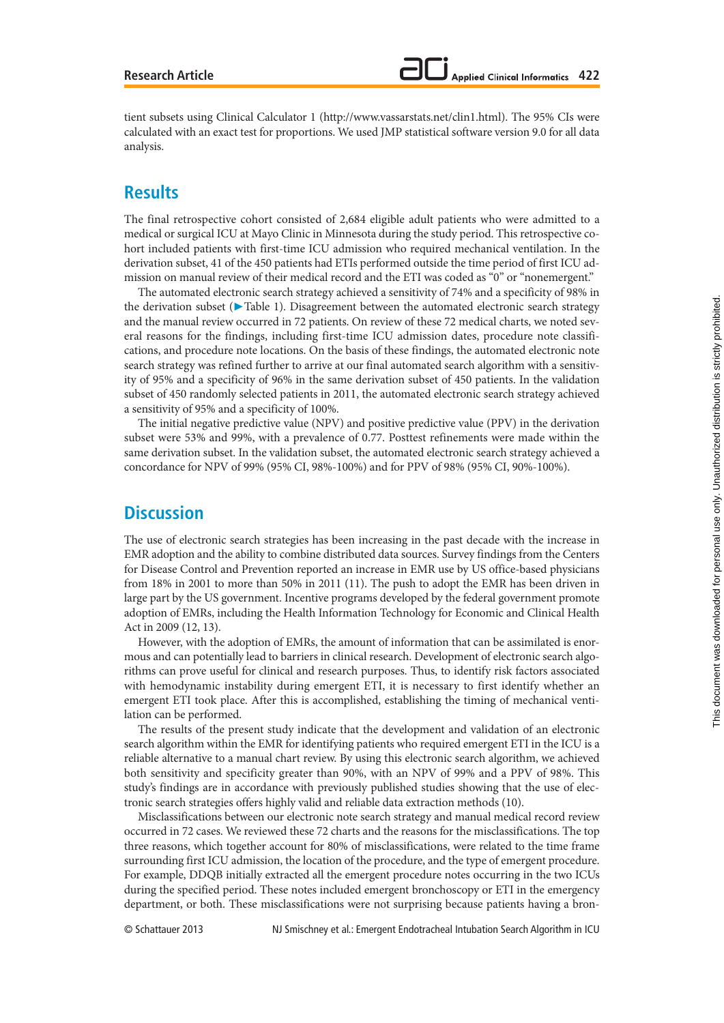tient subsets using Clinical Calculator 1 (http://www.vassarstats.net/clin1.html). The 95% CIs were calculated with an exact test for proportions. We used JMP statistical software version 9.0 for all data analysis.

### **Results**

The final retrospective cohort consisted of 2,684 eligible adult patients who were admitted to a medical or surgical ICU at Mayo Clinic in Minnesota during the study period. This retrospective cohort included patients with first-time ICU admission who required mechanical ventilation. In the derivation subset, 41 of the 450 patients had ETIs performed outside the time period of first ICU admission on manual review of their medical record and the ETI was coded as "0" or "nonemergent."

The automated electronic search strategy achieved a sensitivity of 74% and a specificity of 98% in the derivation subset (▶ Table 1). Disagreement between the automated electronic search strategy and the manual review occurred in 72 patients. On review of these 72 medical charts, we noted several reasons for the findings, including first-time ICU admission dates, procedure note classifications, and procedure note locations. On the basis of these findings, the automated electronic note search strategy was refined further to arrive at our final automated search algorithm with a sensitivity of 95% and a specificity of 96% in the same derivation subset of 450 patients. In the validation subset of 450 randomly selected patients in 2011, the automated electronic search strategy achieved a sensitivity of 95% and a specificity of 100%.

The initial negative predictive value (NPV) and positive predictive value (PPV) in the derivation subset were 53% and 99%, with a prevalence of 0.77. Posttest refinements were made within the same derivation subset. In the validation subset, the automated electronic search strategy achieved a concordance for NPV of 99% (95% CI, 98%-100%) and for PPV of 98% (95% CI, 90%-100%).

### **Discussion**

The use of electronic search strategies has been increasing in the past decade with the increase in EMR adoption and the ability to combine distributed data sources. Survey findings from the Centers for Disease Control and Prevention reported an increase in EMR use by US office-based physicians from 18% in 2001 to more than 50% in 2011 (11). The push to adopt the EMR has been driven in large part by the US government. Incentive programs developed by the federal government promote adoption of EMRs, including the Health Information Technology for Economic and Clinical Health Act in 2009 (12, 13).

However, with the adoption of EMRs, the amount of information that can be assimilated is enormous and can potentially lead to barriers in clinical research. Development of electronic search algorithms can prove useful for clinical and research purposes. Thus, to identify risk factors associated with hemodynamic instability during emergent ETI, it is necessary to first identify whether an emergent ETI took place. After this is accomplished, establishing the timing of mechanical ventilation can be performed.

The results of the present study indicate that the development and validation of an electronic search algorithm within the EMR for identifying patients who required emergent ETI in the ICU is a reliable alternative to a manual chart review. By using this electronic search algorithm, we achieved both sensitivity and specificity greater than 90%, with an NPV of 99% and a PPV of 98%. This study's findings are in accordance with previously published studies showing that the use of electronic search strategies offers highly valid and reliable data extraction methods (10).

Misclassifications between our electronic note search strategy and manual medical record review occurred in 72 cases. We reviewed these 72 charts and the reasons for the misclassifications. The top three reasons, which together account for 80% of misclassifications, were related to the time frame surrounding first ICU admission, the location of the procedure, and the type of emergent procedure. For example, DDQB initially extracted all the emergent procedure notes occurring in the two ICUs during the specified period. These notes included emergent bronchoscopy or ETI in the emergency department, or both. These misclassifications were not surprising because patients having a bron-

NJ Smischney et al.: Emergent Endotracheal Intubation Search Algorithm in ICU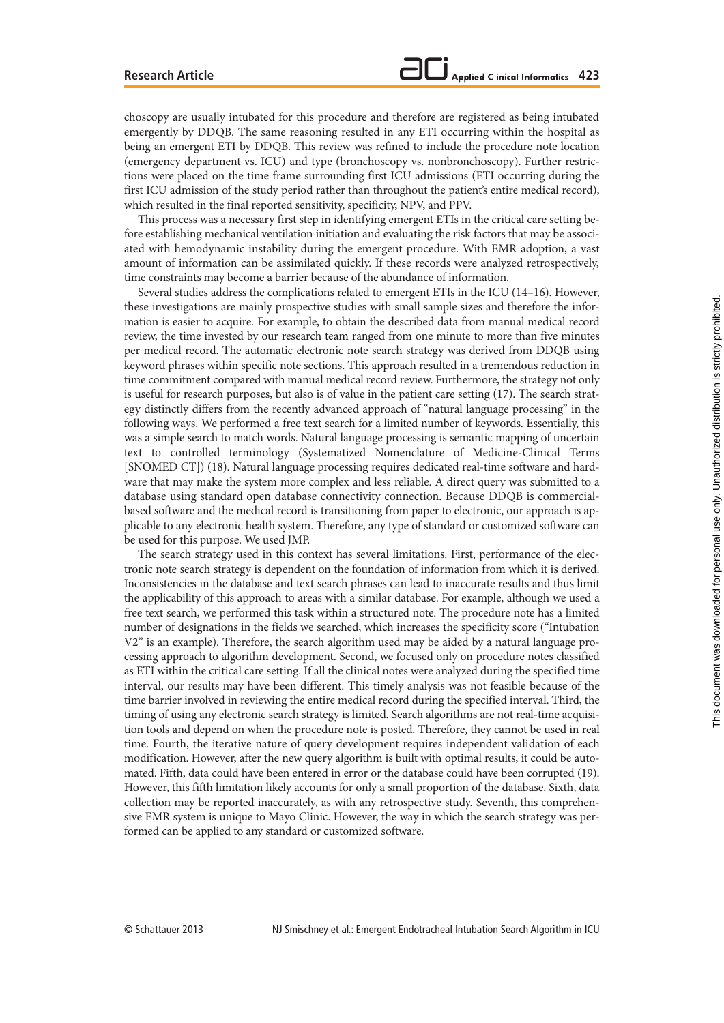choscopy are usually intubated for this procedure and therefore are registered as being intubated emergently by DDQB. The same reasoning resulted in any ETI occurring within the hospital as being an emergent ETI by DDQB. This review was refined to include the procedure note location (emergency department vs. ICU) and type (bronchoscopy vs. nonbronchoscopy). Further restrictions were placed on the time frame surrounding first ICU admissions (ETI occurring during the first ICU admission of the study period rather than throughout the patient's entire medical record), which resulted in the final reported sensitivity, specificity, NPV, and PPV.

This process was a necessary first step in identifying emergent ETIs in the critical care setting before establishing mechanical ventilation initiation and evaluating the risk factors that may be associated with hemodynamic instability during the emergent procedure. With EMR adoption, a vast amount of information can be assimilated quickly. If these records were analyzed retrospectively, time constraints may become a barrier because of the abundance of information.

Several studies address the complications related to emergent ETIs in the ICU (14–16). However, these investigations are mainly prospective studies with small sample sizes and therefore the information is easier to acquire. For example, to obtain the described data from manual medical record review, the time invested by our research team ranged from one minute to more than five minutes per medical record. The automatic electronic note search strategy was derived from DDQB using keyword phrases within specific note sections. This approach resulted in a tremendous reduction in time commitment compared with manual medical record review. Furthermore, the strategy not only is useful for research purposes, but also is of value in the patient care setting (17). The search strategy distinctly differs from the recently advanced approach of "natural language processing" in the following ways. We performed a free text search for a limited number of keywords. Essentially, this was a simple search to match words. Natural language processing is semantic mapping of uncertain text to controlled terminology (Systematized Nomenclature of Medicine-Clinical Terms [SNOMED CT]) (18). Natural language processing requires dedicated real-time software and hardware that may make the system more complex and less reliable. A direct query was submitted to a database using standard open database connectivity connection. Because DDQB is commercialbased software and the medical record is transitioning from paper to electronic, our approach is applicable to any electronic health system. Therefore, any type of standard or customized software can be used for this purpose. We used JMP.

The search strategy used in this context has several limitations. First, performance of the electronic note search strategy is dependent on the foundation of information from which it is derived. Inconsistencies in the database and text search phrases can lead to inaccurate results and thus limit the applicability of this approach to areas with a similar database. For example, although we used a free text search, we performed this task within a structured note. The procedure note has a limited number of designations in the fields we searched, which increases the specificity score ("Intubation V2" is an example). Therefore, the search algorithm used may be aided by a natural language processing approach to algorithm development. Second, we focused only on procedure notes classified as ETI within the critical care setting. If all the clinical notes were analyzed during the specified time interval, our results may have been different. This timely analysis was not feasible because of the time barrier involved in reviewing the entire medical record during the specified interval. Third, the timing of using any electronic search strategy is limited. Search algorithms are not real-time acquisition tools and depend on when the procedure note is posted. Therefore, they cannot be used in real time. Fourth, the iterative nature of query development requires independent validation of each modification. However, after the new query algorithm is built with optimal results, it could be automated. Fifth, data could have been entered in error or the database could have been corrupted (19). However, this fifth limitation likely accounts for only a small proportion of the database. Sixth, data collection may be reported inaccurately, as with any retrospective study. Seventh, this comprehensive EMR system is unique to Mayo Clinic. However, the way in which the search strategy was performed can be applied to any standard or customized software.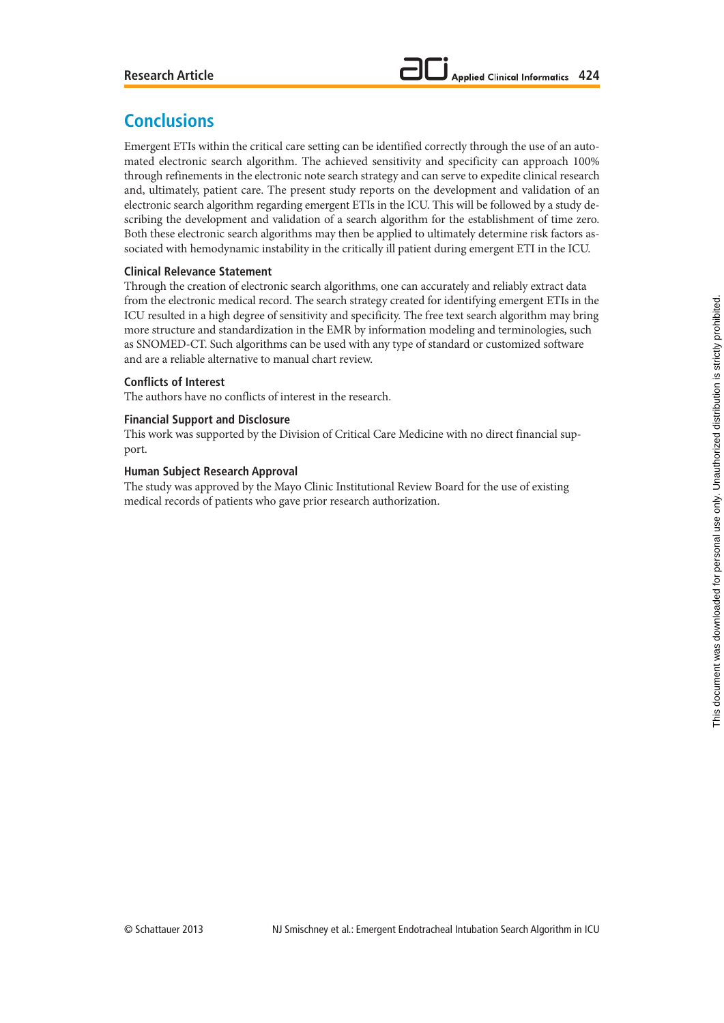# **Conclusions**

Emergent ETIs within the critical care setting can be identified correctly through the use of an automated electronic search algorithm. The achieved sensitivity and specificity can approach 100% through refinements in the electronic note search strategy and can serve to expedite clinical research and, ultimately, patient care. The present study reports on the development and validation of an electronic search algorithm regarding emergent ETIs in the ICU. This will be followed by a study describing the development and validation of a search algorithm for the establishment of time zero. Both these electronic search algorithms may then be applied to ultimately determine risk factors associated with hemodynamic instability in the critically ill patient during emergent ETI in the ICU.

### **Clinical Relevance Statement**

Through the creation of electronic search algorithms, one can accurately and reliably extract data from the electronic medical record. The search strategy created for identifying emergent ETIs in the ICU resulted in a high degree of sensitivity and specificity. The free text search algorithm may bring more structure and standardization in the EMR by information modeling and terminologies, such as SNOMED-CT. Such algorithms can be used with any type of standard or customized software and are a reliable alternative to manual chart review.

### **Conflicts of Interest**

The authors have no conflicts of interest in the research.

### **Financial Support and Disclosure**

This work was supported by the Division of Critical Care Medicine with no direct financial support.

### **Human Subject Research Approval**

The study was approved by the Mayo Clinic Institutional Review Board for the use of existing medical records of patients who gave prior research authorization.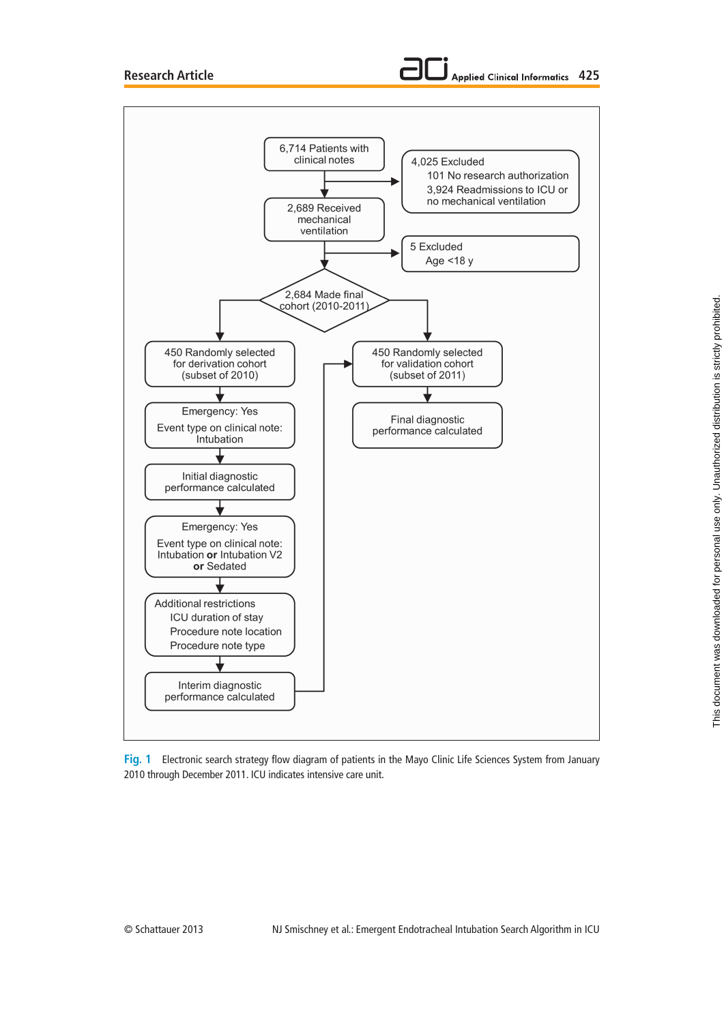



**Fig. 1** Electronic search strategy flow diagram of patients in the Mayo Clinic Life Sciences System from January 2010 through December 2011. ICU indicates intensive care unit.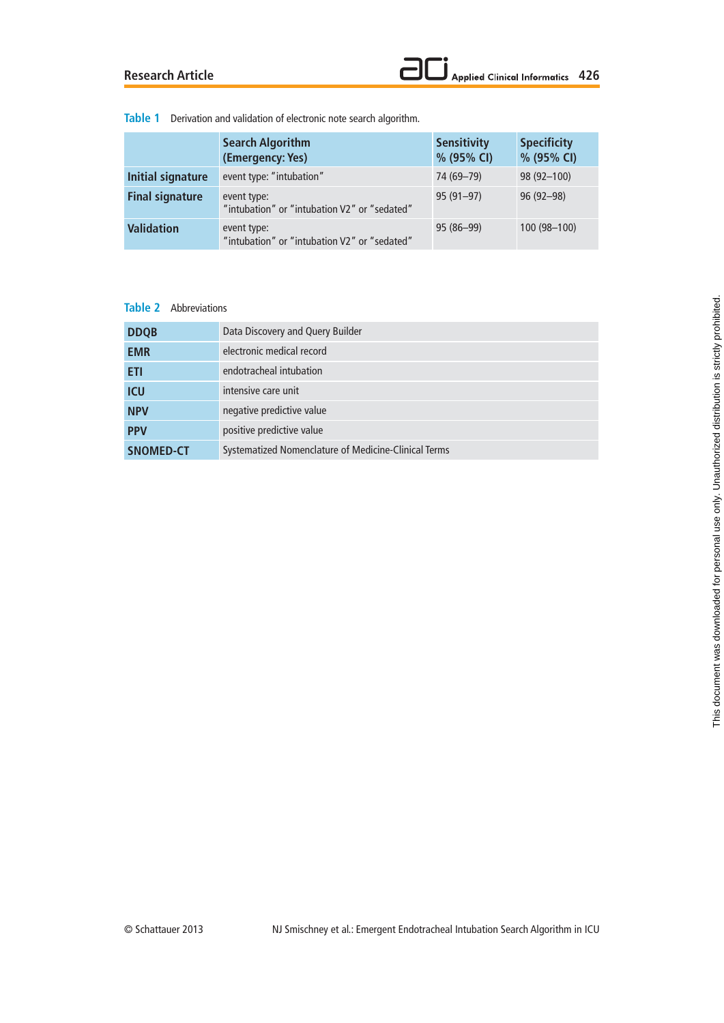### **Research Article**

|  | Applied Clinical Informatics 426 |  |
|--|----------------------------------|--|
|  |                                  |  |

|  |                        | <b>Search Algorithm</b><br>(Emergency: Yes)                 | <b>Sensitivity</b><br>% (95% CI) | <b>Specificity</b><br>% (95% CI) |
|--|------------------------|-------------------------------------------------------------|----------------------------------|----------------------------------|
|  | Initial signature      | event type: "intubation"                                    | 74 (69-79)                       | 98 (92-100)                      |
|  | <b>Final signature</b> | event type:<br>"intubation" or "intubation V2" or "sedated" | $95(91-97)$                      | $96(92 - 98)$                    |
|  | <b>Validation</b>      | event type:<br>"intubation" or "intubation V2" or "sedated" | $95(86-99)$                      | 100 (98-100)                     |

**Table 1** Derivation and validation of electronic note search algorithm.

### **Table 2** Abbreviations

| <b>DDQB</b> | Data Discovery and Query Builder                     |
|-------------|------------------------------------------------------|
| <b>EMR</b>  | electronic medical record                            |
| <b>ETI</b>  | endotracheal intubation                              |
| <b>ICU</b>  | intensive care unit                                  |
| <b>NPV</b>  | negative predictive value                            |
| <b>PPV</b>  | positive predictive value                            |
| SNOMED-CT   | Systematized Nomenclature of Medicine-Clinical Terms |